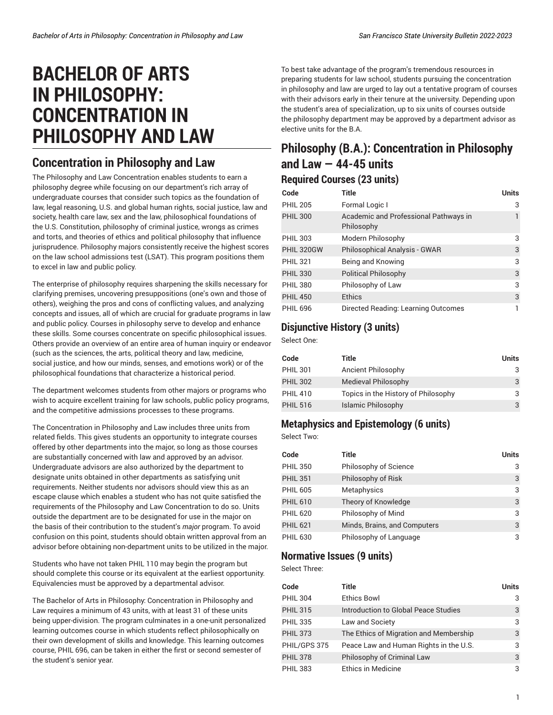# **BACHELOR OF ARTS IN PHILOSOPHY: CONCENTRATION IN PHILOSOPHY AND LAW**

### **Concentration in Philosophy and Law**

The Philosophy and Law Concentration enables students to earn a philosophy degree while focusing on our department's rich array of undergraduate courses that consider such topics as the foundation of law, legal reasoning, U.S. and global human rights, social justice, law and society, health care law, sex and the law, philosophical foundations of the U.S. Constitution, philosophy of criminal justice, wrongs as crimes and torts, and theories of ethics and political philosophy that influence jurisprudence. Philosophy majors consistently receive the highest scores on the law school admissions test (LSAT). This program positions them to excel in law and public policy.

The enterprise of philosophy requires sharpening the skills necessary for clarifying premises, uncovering presuppositions (one's own and those of others), weighing the pros and cons of conflicting values, and analyzing concepts and issues, all of which are crucial for graduate programs in law and public policy. Courses in philosophy serve to develop and enhance these skills. Some courses concentrate on specific philosophical issues. Others provide an overview of an entire area of human inquiry or endeavor (such as the sciences, the arts, political theory and law, medicine, social justice, and how our minds, senses, and emotions work) or of the philosophical foundations that characterize a historical period.

The department welcomes students from other majors or programs who wish to acquire excellent training for law schools, public policy programs, and the competitive admissions processes to these programs.

The Concentration in Philosophy and Law includes three units from related fields. This gives students an opportunity to integrate courses offered by other departments into the major, so long as those courses are substantially concerned with law and approved by an advisor. Undergraduate advisors are also authorized by the department to designate units obtained in other departments as satisfying unit requirements. Neither students nor advisors should view this as an escape clause which enables a student who has not quite satisfied the requirements of the Philosophy and Law Concentration to do so. Units outside the department are to be designated for use in the major on the basis of their contribution to the student's *major* program. To avoid confusion on this point, students should obtain written approval from an advisor before obtaining non-department units to be utilized in the major.

Students who have not taken PHIL 110 may begin the program but should complete this course or its equivalent at the earliest opportunity. Equivalencies must be approved by a departmental advisor.

The Bachelor of Arts in Philosophy: Concentration in Philosophy and Law requires a minimum of 43 units, with at least 31 of these units being upper-division. The program culminates in a one-unit personalized learning outcomes course in which students reflect philosophically on their own development of skills and knowledge. This learning outcomes course, PHIL 696, can be taken in either the first or second semester of the student's senior year.

To best take advantage of the program's tremendous resources in preparing students for law school, students pursuing the concentration in philosophy and law are urged to lay out a tentative program of courses with their advisors early in their tenure at the university. Depending upon the student's area of specialization, up to six units of courses outside the philosophy department may be approved by a department advisor as elective units for the B.A.

## **Philosophy (B.A.): Concentration in Philosophy and Law — 44-45 units**

#### **Required Courses (23 units)**

| Code            | <b>Title</b>                                        | <b>Units</b> |
|-----------------|-----------------------------------------------------|--------------|
| <b>PHIL 205</b> | Formal Logic I                                      | 3            |
| <b>PHIL 300</b> | Academic and Professional Pathways in<br>Philosophy |              |
| <b>PHIL 303</b> | Modern Philosophy                                   | 3            |
| PHIL 320GW      | Philosophical Analysis - GWAR                       | 3            |
| <b>PHIL 321</b> | Being and Knowing                                   | 3            |
| <b>PHIL 330</b> | <b>Political Philosophy</b>                         | 3            |
| <b>PHIL 380</b> | Philosophy of Law                                   | 3            |
| <b>PHIL 450</b> | Ethics                                              | 3            |
| <b>PHIL 696</b> | Directed Reading: Learning Outcomes                 |              |

#### **Disjunctive History (3 units)**

Select One:

| Code            | Title                               | <b>Units</b> |
|-----------------|-------------------------------------|--------------|
| <b>PHIL 301</b> | Ancient Philosophy                  | 3            |
| <b>PHIL 302</b> | Medieval Philosophy                 | 3            |
| <b>PHIL 410</b> | Topics in the History of Philosophy | 3            |
| <b>PHIL 516</b> | Islamic Philosophy                  | 3            |

#### **Metaphysics and Epistemology (6 units)**

Select Two:

| Code            | Title                        | <b>Units</b> |
|-----------------|------------------------------|--------------|
| <b>PHIL 350</b> | Philosophy of Science        | 3            |
| <b>PHIL 351</b> | Philosophy of Risk           | 3            |
| <b>PHIL 605</b> | Metaphysics                  | 3            |
| <b>PHIL 610</b> | Theory of Knowledge          | 3            |
| <b>PHIL 620</b> | Philosophy of Mind           | 3            |
| <b>PHIL 621</b> | Minds, Brains, and Computers | 3            |
| <b>PHIL 630</b> | Philosophy of Language       | 3            |

#### **Normative Issues (9 units)**

Select Three:

| Code            | Title                                  | Units |
|-----------------|----------------------------------------|-------|
| <b>PHIL 304</b> | <b>Ethics Bowl</b>                     | 3     |
| <b>PHIL 315</b> | Introduction to Global Peace Studies   | 3     |
| <b>PHIL 335</b> | Law and Society                        | 3     |
| <b>PHIL 373</b> | The Ethics of Migration and Membership | 3     |
| PHIL/GPS 375    | Peace Law and Human Rights in the U.S. | 3     |
| <b>PHIL 378</b> | Philosophy of Criminal Law             | 3     |
| <b>PHIL 383</b> | Ethics in Medicine                     | 3     |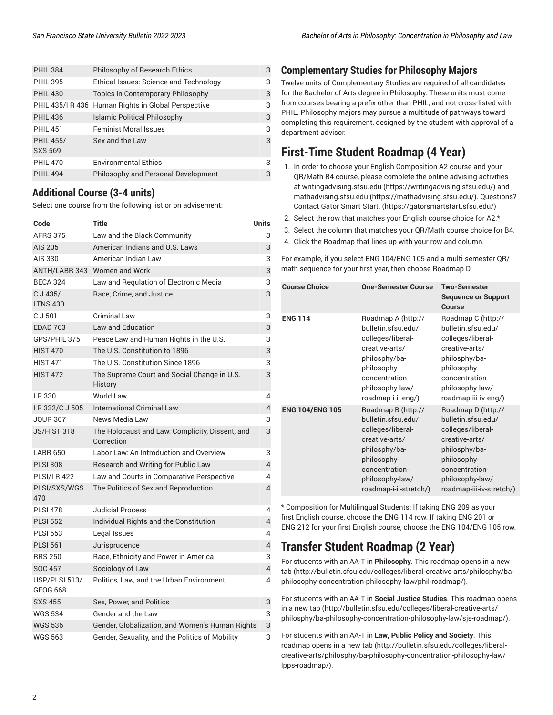| <b>PHIL 384</b>                    | Philosophy of Research Ethics                       | 3 |
|------------------------------------|-----------------------------------------------------|---|
| <b>PHIL 395</b>                    | Ethical Issues: Science and Technology              | 3 |
| <b>PHIL 430</b>                    | <b>Topics in Contemporary Philosophy</b>            | 3 |
|                                    | PHIL 435/I R 436 Human Rights in Global Perspective | 3 |
| <b>PHIL 436</b>                    | <b>Islamic Political Philosophy</b>                 | 3 |
| <b>PHIL 451</b>                    | <b>Feminist Moral Issues</b>                        | 3 |
| <b>PHIL 455/</b><br><b>SXS 569</b> | Sex and the Law                                     | 3 |
| <b>PHIL 470</b>                    | <b>Environmental Ethics</b>                         | 3 |
| <b>PHIL 494</b>                    | Philosophy and Personal Development                 | 3 |
|                                    |                                                     |   |

#### **Additional Course (3-4 units)**

Select one course from the following list or on advisement:

| Code                        | Title                                                         | <b>Units</b>   |
|-----------------------------|---------------------------------------------------------------|----------------|
| <b>AFRS 375</b>             | Law and the Black Community                                   | 3              |
| <b>AIS 205</b>              | American Indians and U.S. Laws                                | 3              |
| AIS 330                     | American Indian Law                                           | 3              |
|                             | ANTH/LABR 343 Women and Work                                  | 3              |
| <b>BECA 324</b>             | Law and Regulation of Electronic Media                        | 3              |
| C J 435/<br><b>LTNS 430</b> | Race, Crime, and Justice                                      | 3              |
| C J 501                     | <b>Criminal Law</b>                                           | 3              |
| <b>EDAD 763</b>             | <b>Law and Education</b>                                      | 3              |
| GPS/PHIL 375                | Peace Law and Human Rights in the U.S.                        | 3              |
| <b>HIST 470</b>             | The U.S. Constitution to 1896                                 | 3              |
| <b>HIST 471</b>             | The U.S. Constitution Since 1896                              | 3              |
| <b>HIST 472</b>             | The Supreme Court and Social Change in U.S.<br><b>History</b> | 3              |
| IR 330                      | World Law                                                     | 4              |
| IR 332/C J 505              | <b>International Criminal Law</b>                             | 4              |
| <b>JOUR 307</b>             | News Media Law                                                | 3              |
| JS/HIST 318                 | The Holocaust and Law: Complicity, Dissent, and<br>Correction | 3              |
| LABR 650                    | Labor Law: An Introduction and Overview                       | 3              |
| <b>PLSI 308</b>             | Research and Writing for Public Law                           | 4              |
| <b>PLSI/I R 422</b>         | Law and Courts in Comparative Perspective                     | 4              |
| PLSI/SXS/WGS<br>470         | The Politics of Sex and Reproduction                          | $\overline{4}$ |
| <b>PLSI 478</b>             | <b>Judicial Process</b>                                       | 4              |
| <b>PLSI 552</b>             | Individual Rights and the Constitution                        | 4              |
| <b>PLSI 553</b>             | Legal Issues                                                  | 4              |
| <b>PLSI 561</b>             | Jurisprudence                                                 | 4              |
| <b>RRS 250</b>              | Race, Ethnicity and Power in America                          | 3              |
| <b>SOC 457</b>              | Sociology of Law                                              | $\sqrt{4}$     |
| USP/PLSI 513/<br>GEOG 668   | Politics, Law, and the Urban Environment                      | 4              |
| <b>SXS 455</b>              | Sex, Power, and Politics                                      | 3              |
| <b>WGS 534</b>              | Gender and the Law                                            | 3              |
| <b>WGS 536</b>              | Gender, Globalization, and Women's Human Rights               | 3              |
| <b>WGS 563</b>              | Gender, Sexuality, and the Politics of Mobility               | 3              |

#### **Complementary Studies for Philosophy Majors**

Twelve units of Complementary Studies are required of all candidates for the Bachelor of Arts degree in Philosophy. These units must come from courses bearing a prefix other than PHIL, and not cross-listed with PHIL. Philosophy majors may pursue a multitude of pathways toward completing this requirement, designed by the student with approval of a department advisor.

### **First-Time Student Roadmap (4 Year)**

- 1. In order to choose your English Composition A2 course and your QR/Math B4 course, please complete the online advising activities at [writingadvising.sfsu.edu \(https://writingadvising.sfsu.edu/](https://writingadvising.sfsu.edu/)) and [mathadvising.sfsu.edu \(https://mathadvising.sfsu.edu/](https://mathadvising.sfsu.edu/)). Questions? Contact Gator [Smart](https://gatorsmartstart.sfsu.edu/) Start. ([https://gatorsmartstart.sfsu.edu/\)](https://gatorsmartstart.sfsu.edu/)
- 2. Select the row that matches your English course choice for A2.\*
- 3. Select the column that matches your QR/Math course choice for B4.
- 4. Click the Roadmap that lines up with your row and column.

For example, if you select ENG 104/ENG 105 and a multi-semester QR/ math sequence for your first year, then choose Roadmap D.

| <b>Course Choice</b>   | <b>One-Semester Course</b>                                                                                                                                                     | <b>Two-Semester</b><br><b>Sequence or Support</b><br>Course                                                                                                                      |
|------------------------|--------------------------------------------------------------------------------------------------------------------------------------------------------------------------------|----------------------------------------------------------------------------------------------------------------------------------------------------------------------------------|
| <b>ENG 114</b>         | Roadmap A (http://<br>bulletin.sfsu.edu/<br>colleges/liberal-<br>creative-arts/<br>philosphy/ba-<br>philosophy-<br>concentration-<br>philosophy-law/<br>roadmap-i-ii-eng/)     | Roadmap C (http://<br>bulletin.sfsu.edu/<br>colleges/liberal-<br>creative-arts/<br>philosphy/ba-<br>philosophy-<br>concentration-<br>philosophy-law/<br>roadmap-iii-iv-eng/)     |
| <b>ENG 104/ENG 105</b> | Roadmap B (http://<br>bulletin.sfsu.edu/<br>colleges/liberal-<br>creative-arts/<br>philosphy/ba-<br>philosophy-<br>concentration-<br>philosophy-law/<br>roadmap-i-ii-stretch/) | Roadmap D (http://<br>bulletin.sfsu.edu/<br>colleges/liberal-<br>creative-arts/<br>philosphy/ba-<br>philosophy-<br>concentration-<br>philosophy-law/<br>roadmap-iii-iv-stretch/) |

\* Composition for Multilingual Students: If taking ENG 209 as your first English course, choose the ENG 114 row. If taking ENG 201 or ENG 212 for your first English course, choose the ENG 104/ENG 105 row.

### **Transfer Student Roadmap (2 Year)**

For students with an AA-T in **Philosophy**. This [roadmap](http://bulletin.sfsu.edu/colleges/liberal-creative-arts/philosphy/ba-philosophy-concentration-philosophy-law/phil-roadmap/) opens in a new [tab](http://bulletin.sfsu.edu/colleges/liberal-creative-arts/philosphy/ba-philosophy-concentration-philosophy-law/phil-roadmap/) ([http://bulletin.sfsu.edu/colleges/liberal-creative-arts/philosphy/ba](http://bulletin.sfsu.edu/colleges/liberal-creative-arts/philosphy/ba-philosophy-concentration-philosophy-law/phil-roadmap/)[philosophy-concentration-philosophy-law/phil-roadmap/](http://bulletin.sfsu.edu/colleges/liberal-creative-arts/philosphy/ba-philosophy-concentration-philosophy-law/phil-roadmap/)).

For students with an AA-T in **Social Justice Studies**. This [roadmap](http://bulletin.sfsu.edu/colleges/liberal-creative-arts/philosphy/ba-philosophy-concentration-philosophy-law/sjs-roadmap/) opens [in a new tab \(http://bulletin.sfsu.edu/colleges/liberal-creative-arts/](http://bulletin.sfsu.edu/colleges/liberal-creative-arts/philosphy/ba-philosophy-concentration-philosophy-law/sjs-roadmap/) [philosphy/ba-philosophy-concentration-philosophy-law/sjs-roadmap/](http://bulletin.sfsu.edu/colleges/liberal-creative-arts/philosphy/ba-philosophy-concentration-philosophy-law/sjs-roadmap/)).

For students with an AA-T in **Law, Public Policy and Society**. [This](http://bulletin.sfsu.edu/colleges/liberal-creative-arts/philosphy/ba-philosophy-concentration-philosophy-law/lpps-roadmap/) [roadmap](http://bulletin.sfsu.edu/colleges/liberal-creative-arts/philosphy/ba-philosophy-concentration-philosophy-law/lpps-roadmap/) opens in a new tab ([http://bulletin.sfsu.edu/colleges/liberal](http://bulletin.sfsu.edu/colleges/liberal-creative-arts/philosphy/ba-philosophy-concentration-philosophy-law/lpps-roadmap/)[creative-arts/philosphy/ba-philosophy-concentration-philosophy-law/](http://bulletin.sfsu.edu/colleges/liberal-creative-arts/philosphy/ba-philosophy-concentration-philosophy-law/lpps-roadmap/) [lpps-roadmap/](http://bulletin.sfsu.edu/colleges/liberal-creative-arts/philosphy/ba-philosophy-concentration-philosophy-law/lpps-roadmap/)).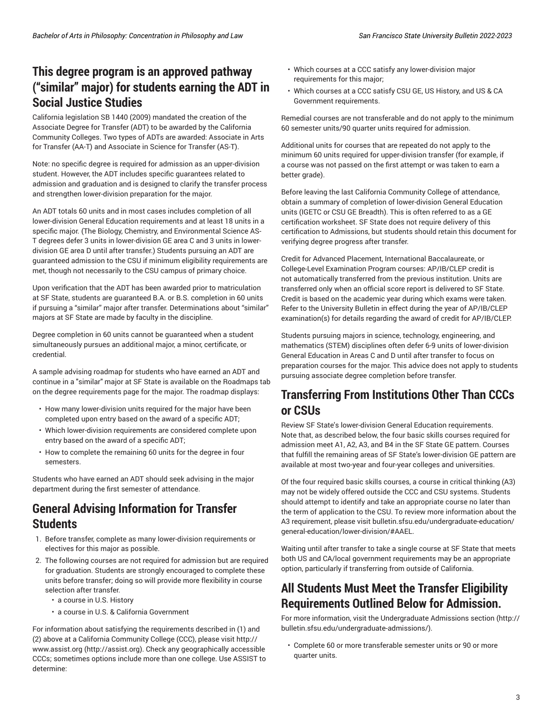### **This degree program is an approved pathway ("similar" major) for students earning the ADT in Social Justice Studies**

California legislation SB 1440 (2009) mandated the creation of the Associate Degree for Transfer (ADT) to be awarded by the California Community Colleges. Two types of ADTs are awarded: Associate in Arts for Transfer (AA-T) and Associate in Science for Transfer (AS-T).

Note: no specific degree is required for admission as an upper-division student. However, the ADT includes specific guarantees related to admission and graduation and is designed to clarify the transfer process and strengthen lower-division preparation for the major.

An ADT totals 60 units and in most cases includes completion of all lower-division General Education requirements and at least 18 units in a specific major. (The Biology, Chemistry, and Environmental Science AS-T degrees defer 3 units in lower-division GE area C and 3 units in lowerdivision GE area D until after transfer.) Students pursuing an ADT are guaranteed admission to the CSU if minimum eligibility requirements are met, though not necessarily to the CSU campus of primary choice.

Upon verification that the ADT has been awarded prior to matriculation at SF State, students are guaranteed B.A. or B.S. completion in 60 units if pursuing a "similar" major after transfer. Determinations about "similar" majors at SF State are made by faculty in the discipline.

Degree completion in 60 units cannot be guaranteed when a student simultaneously pursues an additional major, a minor, certificate, or credential.

A sample advising roadmap for students who have earned an ADT and continue in a "similar" major at SF State is available on the Roadmaps tab on the degree requirements page for the major. The roadmap displays:

- How many lower-division units required for the major have been completed upon entry based on the award of a specific ADT;
- Which lower-division requirements are considered complete upon entry based on the award of a specific ADT;
- How to complete the remaining 60 units for the degree in four semesters.

Students who have earned an ADT should seek advising in the major department during the first semester of attendance.

### **General Advising Information for Transfer Students**

- 1. Before transfer, complete as many lower-division requirements or electives for this major as possible.
- 2. The following courses are not required for admission but are required for graduation. Students are strongly encouraged to complete these units before transfer; doing so will provide more flexibility in course selection after transfer.
	- a course in U.S. History
	- a course in U.S. & California Government

For information about satisfying the requirements described in (1) and (2) above at a California Community College (CCC), please visit [http://](http://assist.org) [www.assist.org](http://assist.org) [\(http://assist.org\)](http://assist.org). Check any geographically accessible CCCs; sometimes options include more than one college. Use ASSIST to determine:

- Which courses at a CCC satisfy any lower-division major requirements for this major;
- Which courses at a CCC satisfy CSU GE, US History, and US & CA Government requirements.

Remedial courses are not transferable and do not apply to the minimum 60 semester units/90 quarter units required for admission.

Additional units for courses that are repeated do not apply to the minimum 60 units required for upper-division transfer (for example, if a course was not passed on the first attempt or was taken to earn a better grade).

Before leaving the last California Community College of attendance, obtain a summary of completion of lower-division General Education units (IGETC or CSU GE Breadth). This is often referred to as a GE certification worksheet. SF State does not require delivery of this certification to Admissions, but students should retain this document for verifying degree progress after transfer.

Credit for Advanced Placement, International Baccalaureate, or College-Level Examination Program courses: AP/IB/CLEP credit is not automatically transferred from the previous institution. Units are transferred only when an official score report is delivered to SF State. Credit is based on the academic year during which exams were taken. Refer to the University Bulletin in effect during the year of AP/IB/CLEP examination(s) for details regarding the award of credit for AP/IB/CLEP.

Students pursuing majors in science, technology, engineering, and mathematics (STEM) disciplines often defer 6-9 units of lower-division General Education in Areas C and D until after transfer to focus on preparation courses for the major. This advice does not apply to students pursuing associate degree completion before transfer.

### **Transferring From Institutions Other Than CCCs or CSUs**

Review SF State's lower-division General Education requirements. Note that, as described below, the four basic skills courses required for admission meet A1, A2, A3, and B4 in the SF State GE pattern. Courses that fulfill the remaining areas of SF State's lower-division GE pattern are available at most two-year and four-year colleges and universities.

Of the four required basic skills courses, a course in critical thinking (A3) may not be widely offered outside the CCC and CSU systems. Students should attempt to identify and take an appropriate course no later than the term of application to the CSU. To review more information about the A3 requirement, please visit [bulletin.sfsu.edu/undergraduate-education/](/undergraduate-education/general-education/lower-division/#AAEL) [general-education/lower-division/#AAEL.](/undergraduate-education/general-education/lower-division/#AAEL)

Waiting until after transfer to take a single course at SF State that meets both US and CA/local government requirements may be an appropriate option, particularly if transferring from outside of California.

### **All Students Must Meet the Transfer Eligibility Requirements Outlined Below for Admission.**

For more information, visit the [Undergraduate](http://bulletin.sfsu.edu/undergraduate-admissions/) Admissions section [\(http://](http://bulletin.sfsu.edu/undergraduate-admissions/) [bulletin.sfsu.edu/undergraduate-admissions/](http://bulletin.sfsu.edu/undergraduate-admissions/)).

• Complete 60 or more transferable semester units or 90 or more quarter units.